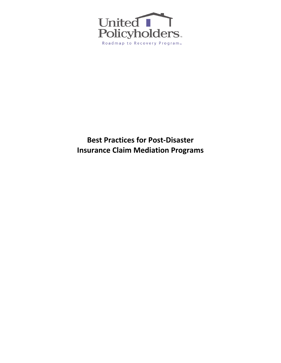

## **Best Practices for Post-Disaster Insurance Claim Mediation Programs**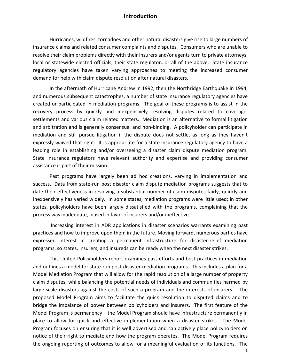### **Introduction**

Hurricanes, wildfires, tornadoes and other natural disasters give rise to large numbers of insurance claims and related consumer complaints and disputes. Consumers who are unable to resolve their claim problems directly with their insurers and/or agents turn to private attorneys, local or statewide elected officials, their state regulator...or all of the above. State insurance regulatory agencies have taken varying approaches to meeting the increased consumer demand for help with claim dispute resolution after natural disasters.

In the aftermath of Hurricane Andrew in 1992, then the Northridge Earthquake in 1994, and numerous subsequent catastrophes, a number of state insurance regulatory agencies have created or participated in mediation programs. The goal of these programs is to assist in the recovery process by quickly and inexpensively resolving disputes related to coverage, settlements and various claim related matters. Mediation is an alternative to formal litigation and arbitration and is generally consensual and non-binding. A policyholder can participate in mediation and still pursue litigation if the dispute does not settle, as long as they haven't expressly waived that right. It is appropriate for a state insurance regulatory agency to have a leading role in establishing and/or overseeing a disaster claim dispute mediation program. State insurance regulators have relevant authority and expertise and providing consumer assistance is part of their mission.

Past programs have largely been ad hoc creations, varying in implementation and success. Data from state-run post disaster claim dispute mediation programs suggests that to date their effectiveness in resolving a substantial number of claim disputes fairly, quickly and inexpensively has varied widely. In some states, mediation programs were little used; in other states, policyholders have been largely dissatisfied with the programs, complaining that the process was inadequate, biased in favor of insurers and/or ineffective.

Increasing interest in ADR applications in disaster scenarios warrants examining past practices and how to improve upon them in the future. Moving forward, numerous parties have expressed interest in creating a permanent infrastructure for disaster-relief mediation programs, so states, insurers, and insureds can be ready when the next disaster strikes.

This United Policyholders report examines past efforts and best practices in mediation and outlines a model for state-run post-disaster mediation programs. This includes a plan for a Model Mediation Program that will allow for the rapid resolution of a large number of property claim disputes, while balancing the potential needs of individuals and communities harmed by large-scale disasters against the costs of such a program and the interests of insurers. The proposed Model Program aims to facilitate the quick resolution to disputed claims and to bridge the imbalance of power between policyholders and insurers. The first feature of the Model Program is permanency  $-$  the Model Program should have infrastructure permanently in place to allow for quick and effective implementation when a disaster strikes. The Model Program focuses on ensuring that it is well advertised and can actively place policyholders on notice of their right to mediate and how the program operates. The Model Program requires the ongoing reporting of outcomes to allow for a meaningful evaluation of its functions. The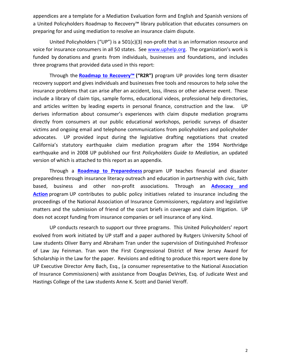appendices are a template for a Mediation Evaluation form and English and Spanish versions of a United Policyholders Roadmap to Recovery™ library publication that educates consumers on preparing for and using mediation to resolve an insurance claim dispute.

United Policyholders ("UP") is a 501(c)(3) non-profit that is an information resource and voice for insurance consumers in all 50 states. See www.uphelp.org. The organization's work is funded by donations and grants from individuals, businesses and foundations, and includes three programs that provided data used in this report:

Through the **Roadmap to Recovery™** ("R2R") program UP provides long term disaster recovery support and gives individuals and businesses free tools and resources to help solve the insurance problems that can arise after an accident, loss, illness or other adverse event. These include a library of claim tips, sample forms, educational videos, professional help directories, and articles written by leading experts in personal finance, construction and the law. UP derives information about consumer's experiences with claim dispute mediation programs directly from consumers at our public educational workshops, periodic surveys of disaster victims and ongoing email and telephone communications from policyholders and policyholder advocates. UP provided input during the legislative drafting negotiations that created California's statutory earthquake claim mediation program after the 1994 Northridge earthquake and in 2008 UP published our first *Policyholders Guide to Mediation*, an updated version of which is attached to this report as an appendix.

Through a **Roadmap to Preparedness** program UP teaches financial and disaster preparedness through insurance literacy outreach and education in partnership with civic, faith based, business and other non-profit associations. Through an **Advocacy and** Action program UP contributes to public policy initiatives related to insurance including the proceedings of the National Association of Insurance Commissioners, regulatory and legislative matters and the submission of friend of the court briefs in coverage and claim litigation. UP does not accept funding from insurance companies or sell insurance of any kind.

UP conducts research to support our three programs. This United Policyholders' report evolved from work initiated by UP staff and a paper authored by Rutgers University School of Law students Oliver Barry and Abraham Tran under the supervision of Distinguished Professor of Law Jay Feinman. Tran won the First Congressional District of New Jersey Award for Scholarship in the Law for the paper. Revisions and editing to produce this report were done by UP Executive Director Amy Bach, Esq., (a consumer representative to the National Association of Insurance Commissioners) with assistance from Douglas DeVries, Esq. of Judicate West and Hastings College of the Law students Anne K. Scott and Daniel Veroff.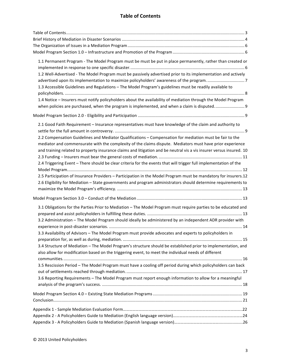## **Table of Contents**

| 1.1 Permanent Program - The Model Program must be must be put in place permanently, rather than created or           |  |
|----------------------------------------------------------------------------------------------------------------------|--|
| 1.2 Well-Advertised - The Model Program must be passively advertised prior to its implementation and actively        |  |
| 1.3 Accessible Guidelines and Regulations - The Model Program's guidelines must be readily available to              |  |
| 1.4 Notice - Insurers must notify policyholders about the availability of mediation through the Model Program        |  |
|                                                                                                                      |  |
|                                                                                                                      |  |
| 2.1 Good Faith Requirement - Insurance representatives must have knowledge of the claim and authority to             |  |
| 2.2 Compensation Guidelines and Mediator Qualifications - Compensation for mediation must be fair to the             |  |
| mediator and commensurate with the complexity of the claims dispute. Mediators must have prior experience            |  |
| and training related to property insurance claims and litigation and be neutral vis a vis insurer versus insured. 10 |  |
|                                                                                                                      |  |
| 2.4 Triggering Event - There should be clear criteria for the events that will trigger full implementation of the    |  |
|                                                                                                                      |  |
| 2.5 Participation of Insurance Providers - Participation in the Model Program must be mandatory for insurers.12      |  |
| 2.6 Eligibility for Mediation - State governments and program administrators should determine requirements to        |  |
|                                                                                                                      |  |
|                                                                                                                      |  |
| 3.1 Obligations for the Parties Prior to Mediation - The Model Program must require parties to be educated and       |  |
|                                                                                                                      |  |
| 3.2 Administration - The Model Program should ideally be administered by an independent ADR provider with            |  |
| 3.3 Availability of Advisors - The Model Program must provide advocates and experts to policyholders in              |  |
| 3.4 Structure of Mediation - The Model Program's structure should be established prior to implementation, and        |  |
| also allow for modification based on the triggering event, to meet the individual needs of different                 |  |
|                                                                                                                      |  |
| 3.5 Rescission Period - The Model Program must have a cooling off period during which policyholders can back         |  |
| 3.6 Reporting Requirements - The Model Program must report enough information to allow for a meaningful              |  |
|                                                                                                                      |  |
|                                                                                                                      |  |
|                                                                                                                      |  |
|                                                                                                                      |  |
|                                                                                                                      |  |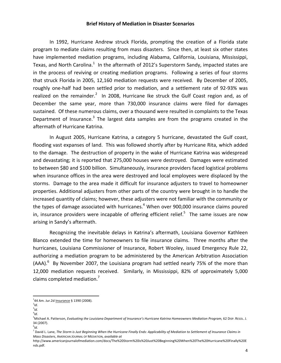#### **Brief History of Mediation in Disaster Scenarios**

In 1992, Hurricane Andrew struck Florida, prompting the creation of a Florida state program to mediate claims resulting from mass disasters. Since then, at least six other states have implemented mediation programs, including Alabama, California, Louisiana, Mississippi, Texas, and North Carolina.<sup>1</sup> In the aftermath of 2012's Superstorm Sandy, impacted states are in the process of reviving or creating mediation programs. Following a series of four storms that struck Florida in 2005, 12,160 mediation requests were received. By December of 2005, roughly one-half had been settled prior to mediation, and a settlement rate of 92-93% was realized on the remainder.<sup>2</sup> In 2008, Hurricane Ike struck the Gulf Coast region and, as of December the same year, more than 730,000 insurance claims were filed for damages sustained. Of these numerous claims, over a thousand were resulted in complaints to the Texas Department of Insurance.<sup>3</sup> The largest data samples are from the programs created in the aftermath of Hurricane Katrina.

In August 2005, Hurricane Katrina, a category 5 hurricane, devastated the Gulf coast, flooding vast expanses of land. This was followed shortly after by Hurricane Rita, which added to the damage. The destruction of property in the wake of Hurricane Katrina was widespread and devastating; it is reported that 275,000 houses were destroyed. Damages were estimated to between \$80 and \$100 billion. Simultaneously, insurance providers faced logistical problems when insurance offices in the area were destroyed and local employees were displaced by the storms. Damage to the area made it difficult for insurance adjusters to travel to homeowner properties. Additional adjusters from other parts of the country were brought in to handle the increased quantity of claims; however, these adjusters were not familiar with the community or the types of damage associated with hurricanes.<sup>4</sup> When over 900,000 insurance claims poured in, insurance providers were incapable of offering efficient relief.<sup>5</sup> The same issues are now arising in Sandy's aftermath.

Recognizing the inevitable delays in Katrina's aftermath, Louisiana Governor Kathleen Blanco extended the time for homeowners to file insurance claims. Three months after the hurricanes, Louisiana Commissioner of Insurance, Robert Wooley, issued Emergency Rule 22, authorizing a mediation program to be administered by the American Arbitration Association (AAA). $<sup>6</sup>$  By November 2007, the Louisiana program had settled nearly 75% of the more than</sup> 12,000 mediation requests received. Similarly, in Mississippi, 82% of approximately 5,000 claims completed mediation. $<sup>7</sup>$ </sup>

<u> 1989 - Johann Stein, markin film yn y breninn y breninn y breninn y breninn y breninn y breninn y breninn y b</u>

3 *Id.* 4 *Id*.

 $144$  Am. Jur.2d Insurance § 1390 (2008).

 $^{2}$ Id.

<sup>&</sup>lt;sup>5</sup> Michael A. Patterson, *Evaluating the Louisiana Department of Insurance's Hurricane Katrina Homeowners Mediation Program, 62 DIsp. REsoL. J.* 34 (2007).

<sup>6</sup> *Id.*

<sup>&</sup>lt;sup>7</sup> David L. Lane, The Storm is Just Beginning When the Hurricane Finally Ends: Applicability of Mediation to Settlement of Insurance Claims in *Mass Disasters*, AMERICAN JOURNAL OF MEDIATION, *available at* 

http://www.americanjournalofmediation.com/docs/The%20Storm%20is%20Just%20Beginning%20When%20The%20Hurricane%20Finally%20E nds.pdf.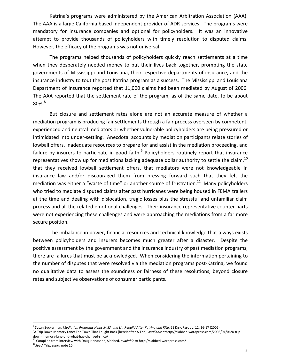Katrina's programs were administered by the American Arbitration Association (AAA). The AAA is a large California based independent provider of ADR services. The programs were mandatory for insurance companies and optional for policyholders. It was an innovative attempt to provide thousands of policyholders with timely resolution to disputed claims. However, the efficacy of the programs was not universal.

The programs helped thousands of policyholders quickly reach settlements at a time when they desperately needed money to put their lives back together, prompting the state governments of Mississippi and Louisiana, their respective departments of insurance, and the insurance industry to tout the post Katrina program as a success. The Mississippi and Louisiana Department of Insurance reported that 11,000 claims had been mediated by August of 2006. The AAA reported that the settlement rate of the program, as of the same date, to be about  $80\%$ . $8$ 

But closure and settlement rates alone are not an accurate measure of whether a mediation program is producing fair settlements through a fair process overseen by competent, experienced and neutral mediators or whether vulnerable policyholders are being pressured or intimidated into under-settling. Anecdotal accounts by mediation participants relate stories of lowball offers, inadequate resources to prepare for and assist in the mediation proceeding, and failure by insurers to participate in good faith.<sup>9</sup> Policyholders routinely report that insurance representatives show up for mediations lacking adequate dollar authority to settle the claim,  $^{10}$ that they received lowball settlement offers, that mediators were not knowledgeable in insurance law and/or discouraged them from pressing forward such that they felt the mediation was either a "waste of time" or another source of frustration.<sup>11</sup> Many policyholders who tried to mediate disputed claims after past hurricanes were being housed in FEMA trailers at the time and dealing with dislocation, tragic losses plus the stressful and unfamiliar claim process and all the related emotional challenges. Their insurance representative counter parts were not experiencing these challenges and were approaching the mediations from a far more secure position.

The imbalance in power, financial resources and technical knowledge that always exists between policyholders and insurers becomes much greater after a disaster. Despite the positive assessment by the government and the insurance industry of past mediation programs, there are failures that must be acknowledged. When considering the information pertaining to the number of disputes that were resolved via the mediation programs post-Katrina, we found no qualitative data to assess the soundness or fairness of these resolutions, beyond closure rates and subjective observations of consumer participants.

<sup>10</sup> Compiled from interview with Doug Handshoe, Slabbed, *available at* http://slabbed.wordpress.com/ <sup>11</sup>See A Trip, *supra* note 10.

<sup>&</sup>lt;sup>8</sup> Susan Zuckerman, *Mediation Programs Helps MISS. and LA. Rebuild After Katrina and Rita*, 61 DISP. RESOL. J. 12, 16-17 (2006).

<sup>&</sup>lt;sup>9</sup>A Trip Down Memory Lane: The Town That Fought Back [hereinafter A Trip]*, available at*http://slabbed.wordpress.com/2008/04/06/a-tripdown-memory-lane-and-what-has-changed-since/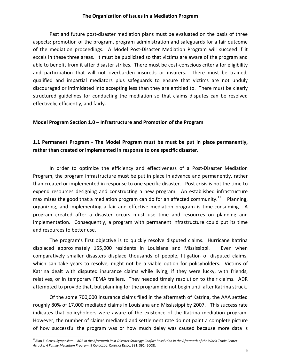#### **The Organization of Issues in a Mediation Program**

Past and future post-disaster mediation plans must be evaluated on the basis of three aspects: promotion of the program, program administration and safeguards for a fair outcome of the mediation proceedings. A Model Post-Disaster Mediation Program will succeed if it excels in these three areas. It must be publicized so that victims are aware of the program and able to benefit from it after disaster strikes. There must be cost-conscious criteria for eligibility and participation that will not overburden insureds or insurers. There must be trained, qualified and impartial mediators plus safeguards to ensure that victims are not unduly discouraged or intimidated into accepting less than they are entitled to. There must be clearly structured guidelines for conducting the mediation so that claims disputes can be resolved effectively, efficiently, and fairly.

#### **Model Program Section 1.0 – Infrastructure and Promotion of the Program**

## **1.1 Permanent Program** - The Model Program must be must be put in place permanently, rather than created or implemented in response to one specific disaster.

In order to optimize the efficiency and effectiveness of a Post-Disaster Mediation Program, the program infrastructure must be put in place in advance and permanently, rather than created or implemented in response to one specific disaster. Post crisis is not the time to expend resources designing and constructing a new program. An established infrastructure maximizes the good that a mediation program can do for an affected community.<sup>12</sup> Planning, organizing, and implementing a fair and effective mediation program is time-consuming. A program created after a disaster occurs must use time and resources on planning and implementation. Consequently, a program with permanent infrastructure could put its time and resources to better use.

The program's first objective is to quickly resolve disputed claims. Hurricane Katrina displaced approximately 155,000 residents in Louisiana and Mississippi. Even when comparatively smaller disasters displace thousands of people, litigation of disputed claims, which can take years to resolve, might not be a viable option for policyholders. Victims of Katrina dealt with disputed insurance claims while living, if they were lucky, with friends, relatives, or in temporary FEMA trailers. They needed timely resolution to their claims. ADR attempted to provide that, but planning for the program did not begin until after Katrina struck.

Of the some 700,000 insurance claims filed in the aftermath of Katrina, the AAA settled roughly 80% of 17,000 mediated claims in Louisiana and Mississippi by 2007. This success rate indicates that policyholders were aware of the existence of the Katrina mediation program. However, the number of claims mediated and settlement rate do not paint a complete picture of how successful the program was or how much delay was caused because more data is

<sup>&</sup>lt;sup>12</sup> Alan E. Gross, Symposium – ADR in the Aftermath Post-Disaster Strategy: Conflict Resolution in the Aftermath of the World Trade Center *Attacks: A Family Mediation Program*, 9 CARDOZO J. CONFLICT RESOL. 381, 391 (2008).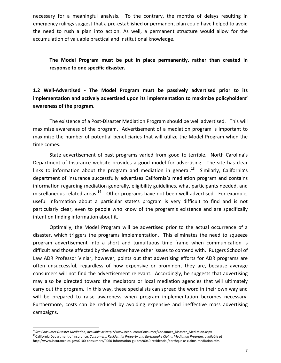necessary for a meaningful analysis. To the contrary, the months of delays resulting in emergency rulings suggest that a pre-established or permanent plan could have helped to avoid the need to rush a plan into action. As well, a permanent structure would allow for the accumulation of valuable practical and institutional knowledge.

The Model Program must be put in place permanently, rather than created in response to one specific disaster.

**1.2 Well-Advertised - The Model Program must be passively advertised prior to its**  implementation and actively advertised upon its implementation to maximize policyholders' awareness of the program.

The existence of a Post-Disaster Mediation Program should be well advertised. This will maximize awareness of the program. Advertisement of a mediation program is important to maximize the number of potential beneficiaries that will utilize the Model Program when the time comes.

State advertisement of past programs varied from good to terrible. North Carolina's Department of Insurance website provides a good model for advertising. The site has clear links to information about the program and mediation in general.<sup>13</sup> Similarly, California's department of insurance successfully advertises California's mediation program and contains information regarding mediation generally, eligibility guidelines, what participants needed, and miscellaneous related areas.<sup>14</sup> Other programs have not been well advertised. For example, useful information about a particular state's program is very difficult to find and is not particularly clear, even to people who know of the program's existence and are specifically intent on finding information about it.

Optimally, the Model Program will be advertised prior to the actual occurrence of a disaster, which triggers the programs implementation. This eliminates the need to squeeze program advertisement into a short and tumultuous time frame when communication is difficult and those affected by the disaster have other issues to contend with. Rutgers School of Law ADR Professor Viniar, however, points out that advertising efforts for ADR programs are often unsuccessful, regardless of how expensive or prominent they are, because average consumers will not find the advertisement relevant. Accordingly, he suggests that advertising may also be directed toward the mediators or local mediation agencies that will ultimately carry out the program. In this way, these specialists can spread the word in their own way and will be prepared to raise awareness when program implementation becomes necessary. Furthermore, costs can be reduced by avoiding expensive and ineffective mass advertising campaigns.

<sup>&</sup>lt;sup>13</sup>See Consumer Disaster Mediation, available at http://www.ncdoi.com/Consumer/Consumer\_Disaster\_Mediation.aspx <sup>14</sup>California Department of Insurance, *Consumers: Residential Property and Earthquake Claims Mediation Program, available at* 

http://www.insurance.ca.gov/0100-consumers/0060-information-guides/0040-residential/earthquake-claims-mediation.cfm.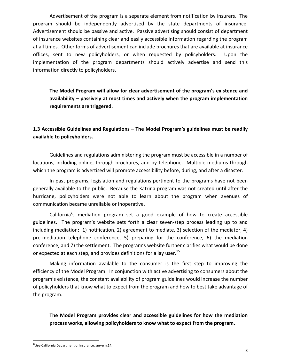Advertisement of the program is a separate element from notification by insurers. The program should be independently advertised by the state departments of insurance. Advertisement should be passive and active. Passive advertising should consist of department of insurance websites containing clear and easily accessible information regarding the program at all times. Other forms of advertisement can include brochures that are available at insurance offices, sent to new policyholders, or when requested by policyholders. Upon the implementation of the program departments should actively advertise and send this information directly to policyholders.

The Model Program will allow for clear advertisement of the program's existence and availability – passively at most times and actively when the program implementation requirements are triggered.

## **1.3 Accessible Guidelines and Regulations – The Model Program's guidelines must be readily** available to policyholders.

Guidelines and regulations administering the program must be accessible in a number of locations, including online, through brochures, and by telephone. Multiple mediums through which the program is advertised will promote accessibility before, during, and after a disaster.

In past programs, legislation and regulations pertinent to the programs have not been generally available to the public. Because the Katrina program was not created until after the hurricane, policyholders were not able to learn about the program when avenues of communication became unreliable or inoperative.

California's mediation program set a good example of how to create accessible guidelines. The program's website sets forth a clear seven-step process leading up to and including mediation: 1) notification, 2) agreement to mediate, 3) selection of the mediator, 4) pre-mediation telephone conference, 5) preparing for the conference, 6) the mediation conference, and 7) the settlement. The program's website further clarifies what would be done or expected at each step, and provides definitions for a lay user.<sup>15</sup>

Making information available to the consumer is the first step to improving the efficiency of the Model Program. In conjunction with active advertising to consumers about the program's existence, the constant availability of program guidelines would increase the number of policyholders that know what to expect from the program and how to best take advantage of the program.

**The Model Program provides clear and accessible guidelines for how the mediation** process works, allowing policyholders to know what to expect from the program.

<sup>&</sup>lt;sup>15</sup>See California Department of Insurance, *supra* n.14.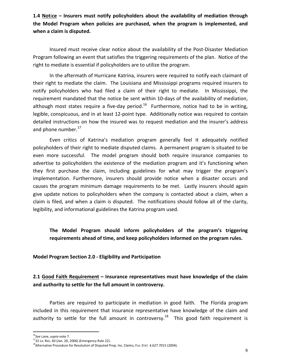**1.4** Notice – Insurers must notify policyholders about the availability of mediation through the Model Program when policies are purchased, when the program is implemented, and when a claim is disputed.

Insured must receive clear notice about the availability of the Post-Disaster Mediation Program following an event that satisfies the triggering requirements of the plan. Notice of the right to mediate is essential if policyholders are to utilize the program.

In the aftermath of Hurricane Katrina, insurers were required to notify each claimant of their right to mediate the claim. The Louisiana and Mississippi programs required insurers to notify policyholders who had filed a claim of their right to mediate. In Mississippi, the requirement mandated that the notice be sent within 10-days of the availability of mediation, although most states require a five-day period.<sup>16</sup> Furthermore, notice had to be in writing, legible, conspicuous, and in at least 12-point type. Additionally notice was required to contain detailed instructions on how the insured was to request mediation and the insurer's address and phone number. $^{17}$ 

Even critics of Katrina's mediation program generally feel it adequately notified policyholders of their right to mediate disputed claims. A permanent program is situated to be even more successful. The model program should both require insurance companies to advertise to policyholders the existence of the mediation program and it's functioning when they first purchase the claim, including guidelines for what may trigger the program's implementation. Furthermore, insurers should provide notice when a disaster occurs and causes the program minimum damage requirements to be met. Lastly insurers should again give update notices to policyholders when the company is contacted about a claim, when a claim is filed, and when a claim is disputed. The notifications should follow all of the clarity, legibility, and informational guidelines the Katrina program used.

**The** Model Program should inform policyholders of the program's triggering requirements ahead of time, and keep policyholders informed on the program rules.

**Model Program Section 2.0 - Eligibility and Participation**

## 2.1 Good Faith Requirement - Insurance representatives must have knowledge of the claim and authority to settle for the full amount in controversy.

Parties are required to participate in mediation in good faith. The Florida program included in this requirement that insurance representative have knowledge of the claim and authority to settle for the full amount in controversy.<sup>18</sup> This good faith requirement is

<sup>&</sup>lt;sup>16</sup>See Lane, *supra* note 7.

 $1732$  LA. REG. 60 (Jan. 20, 2006) (Emergency Rule 22).

<sup>&</sup>lt;sup>18</sup> Alternative Procedure for Resolution of Disputed Prop. Ins. Claims, FLA. STAT. § 627.7015 (2004).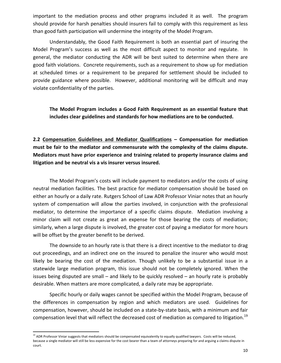important to the mediation process and other programs included it as well. The program should provide for harsh penalties should insurers fail to comply with this requirement as less than good faith participation will undermine the integrity of the Model Program.

Understandably, the Good Faith Requirement is both an essential part of insuring the Model Program's success as well as the most difficult aspect to monitor and regulate. In general, the mediator conducting the ADR will be best suited to determine when there are good faith violations. Concrete requirements, such as a requirement to show up for mediation at scheduled times or a requirement to be prepared for settlement should be included to provide guidance where possible. However, additional monitoring will be difficult and may violate confidentiality of the parties.

## The Model Program includes a Good Faith Requirement as an essential feature that includes clear guidelines and standards for how mediations are to be conducted.

2.2 Compensation Guidelines and Mediator Qualifications - Compensation for mediation must be fair to the mediator and commensurate with the complexity of the claims dispute. **Mediators must have prior experience and training related to property insurance claims and** litigation and be neutral vis a vis insurer versus insured.

The Model Program's costs will include payment to mediators and/or the costs of using neutral mediation facilities. The best practice for mediator compensation should be based on either an hourly or a daily rate. Rutgers School of Law ADR Professor Viniar notes that an hourly system of compensation will allow the parties involved, in conjunction with the professional mediator, to determine the importance of a specific claims dispute. Mediation involving a minor claim will not create as great an expense for those bearing the costs of mediation; similarly, when a large dispute is involved, the greater cost of paying a mediator for more hours will be offset by the greater benefit to be derived.

The downside to an hourly rate is that there is a direct incentive to the mediator to drag out proceedings, and an indirect one on the insured to penalize the insurer who would most likely be bearing the cost of the mediation. Though unlikely to be a substantial issue in a statewide large mediation program, this issue should not be completely ignored. When the issues being disputed are small  $-$  and likely to be quickly resolved  $-$  an hourly rate is probably desirable. When matters are more complicated, a daily rate may be appropriate.

Specific hourly or daily wages cannot be specified within the Model Program, because of the differences in compensation by region and which mediators are used. Guidelines for compensation, however, should be included on a state-by-state basis, with a minimum and fair compensation level that will reflect the decreased cost of mediation as compared to litigation.<sup>19</sup>

<sup>&</sup>lt;sup>19</sup> ADR Professor Viniar suggests that mediators should be compensated equivalently to equally qualified lawyers. Costs will be reduced, because a single mediator will still be less expensive for the cost bearer than a team of attorneys preparing for and arguing a claims dispute in court.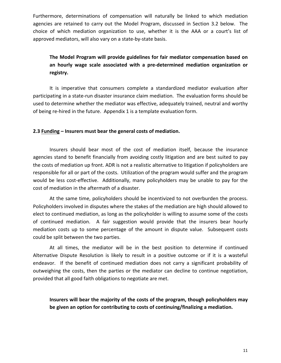Furthermore, determinations of compensation will naturally be linked to which mediation agencies are retained to carry out the Model Program, discussed in Section 3.2 below. The choice of which mediation organization to use, whether it is the AAA or a court's list of approved mediators, will also vary on a state-by-state basis.

## The Model Program will provide guidelines for fair mediator compensation based on an hourly wage scale associated with a pre-determined mediation organization or **registry.**

It is imperative that consumers complete a standardized mediator evaluation after participating in a state-run disaster insurance claim mediation. The evaluation forms should be used to determine whether the mediator was effective, adequately trained, neutral and worthy of being re-hired in the future. Appendix 1 is a template evaluation form.

#### **2.3 Funding – Insurers must bear the general costs of mediation.**

Insurers should bear most of the cost of mediation itself, because the insurance agencies stand to benefit financially from avoiding costly litigation and are best suited to pay the costs of mediation up front. ADR is not a realistic alternative to litigation if policyholders are responsible for all or part of the costs. Utilization of the program would suffer and the program would be less cost-effective. Additionally, many policyholders may be unable to pay for the cost of mediation in the aftermath of a disaster.

At the same time, policyholders should be incentivized to not overburden the process. Policyholders involved in disputes where the stakes of the mediation are high should allowed to elect to continued mediation, as long as the policyholder is willing to assume some of the costs of continued mediation. A fair suggestion would provide that the insurers bear hourly mediation costs up to some percentage of the amount in dispute value. Subsequent costs could be split between the two parties.

At all times, the mediator will be in the best position to determine if continued Alternative Dispute Resolution is likely to result in a positive outcome or if it is a wasteful endeavor. If the benefit of continued mediation does not carry a significant probability of outweighing the costs, then the parties or the mediator can decline to continue negotiation, provided that all good faith obligations to negotiate are met.

**Insurers will bear the majority of the costs of the program, though policyholders may be given an option for contributing to costs of continuing/finalizing a mediation.**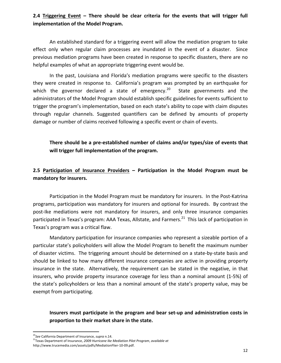## **2.4** Triggering Event – There should be clear criteria for the events that will trigger full **implementation of the Model Program.**

An established standard for a triggering event will allow the mediation program to take effect only when regular claim processes are inundated in the event of a disaster. Since previous mediation programs have been created in response to specific disasters, there are no helpful examples of what an appropriate triggering event would be.

In the past, Louisiana and Florida's mediation programs were specific to the disasters they were created in response to. California's program was prompted by an earthquake for which the governor declared a state of emergency.<sup>20</sup> State governments and the administrators of the Model Program should establish specific guidelines for events sufficient to trigger the program's implementation, based on each state's ability to cope with claim disputes through regular channels. Suggested quantifiers can be defined by amounts of property damage or number of claims received following a specific event or chain of events.

There should be a pre-established number of claims and/or types/size of events that **will trigger full implementation of the program.**

2.5 Participation of Insurance Providers - Participation in the Model Program must be **mandatory for insurers.** 

Participation in the Model Program must be mandatory for insurers. In the Post-Katrina programs, participation was mandatory for insurers and optional for insureds. By contrast the post-Ike mediations were not mandatory for insurers, and only three insurance companies participated in Texas's program: AAA Texas, Allstate, and Farmers.<sup>21</sup> This lack of participation in Texas's program was a critical flaw.

Mandatory participation for insurance companies who represent a sizeable portion of a particular state's policyholders will allow the Model Program to benefit the maximum number of disaster victims. The triggering amount should be determined on a state-by-state basis and should be linked to how many different insurance companies are active in providing property insurance in the state. Alternatively, the requirement can be stated in the negative, in that insurers, who provide property insurance coverage for less than a nominal amount (1-5%) of the state's policyholders or less than a nominal amount of the state's property value, may be exempt from participating.

**Insurers must participate in the program and bear set-up and administration costs in** proportion to their market share in the state.

<sup>&</sup>lt;sup>20</sup>See California Department of Insurance, *supra* n.14.

<sup>&</sup>lt;sup>21</sup>Texas Department of Insurance, 2009 Hurricane Ike Mediation Pilot Program, available at

http://www.trucemedia.com/assets/pdfs/MediationFlier-10-09.pdf.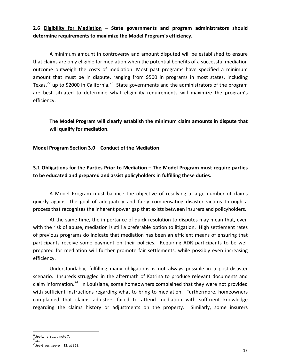## 2.6 Eligibility for Mediation - State governments and program administrators should determine requirements to maximize the Model Program's efficiency.

A minimum amount in controversy and amount disputed will be established to ensure that claims are only eligible for mediation when the potential benefits of a successful mediation outcome outweigh the costs of mediation. Most past programs have specified a minimum amount that must be in dispute, ranging from \$500 in programs in most states, including Texas,<sup>22</sup> up to \$2000 in California.<sup>23</sup> State governments and the administrators of the program are best situated to determine what eligibility requirements will maximize the program's efficiency.

**The Model Program will clearly establish the minimum claim amounts in dispute that** will qualify for mediation.

**Model Program Section 3.0 – Conduct of the Mediation** 

## **3.1 Obligations for the Parties Prior to Mediation – The Model Program must require parties** to be educated and prepared and assist policyholders in fulfilling these duties.

A Model Program must balance the objective of resolving a large number of claims quickly against the goal of adequately and fairly compensating disaster victims through a process that recognizes the inherent power gap that exists between insurers and policyholders.

At the same time, the importance of quick resolution to disputes may mean that, even with the risk of abuse, mediation is still a preferable option to litigation. High settlement rates of previous programs do indicate that mediation has been an efficient means of ensuring that participants receive some payment on their policies. Requiring ADR participants to be well prepared for mediation will further promote fair settlements, while possibly even increasing efficiency.

Understandably, fulfilling many obligations is not always possible in a post-disaster scenario. Insureds struggled in the aftermath of Katrina to produce relevant documents and claim information.<sup>24</sup> In Louisiana, some homeowners complained that they were not provided with sufficient instructions regarding what to bring to mediation. Furthermore, homeowners complained that claims adjusters failed to attend mediation with sufficient knowledge regarding the claims history or adjustments on the property. Similarly, some insurers

 <sup>22</sup>See Lane, supra note 7.

<sup>23</sup>*Id..*

<sup>&</sup>lt;sup>24</sup>See Gross, *supra* n.12, at 363.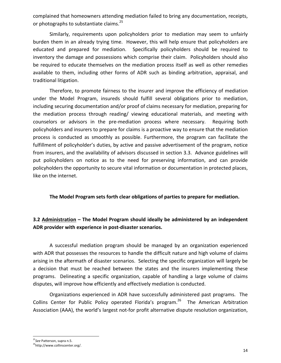complained that homeowners attending mediation failed to bring any documentation, receipts, or photographs to substantiate claims. $^{25}$ 

Similarly, requirements upon policyholders prior to mediation may seem to unfairly burden them in an already trying time. However, this will help ensure that policyholders are educated and prepared for mediation. Specifically policyholders should be required to inventory the damage and possessions which comprise their claim. Policyholders should also be required to educate themselves on the mediation process itself as well as other remedies available to them, including other forms of ADR such as binding arbitration, appraisal, and traditional litigation.

Therefore, to promote fairness to the insurer and improve the efficiency of mediation under the Model Program, insureds should fulfill several obligations prior to mediation, including securing documentation and/or proof of claims necessary for mediation, preparing for the mediation process through reading/ viewing educational materials, and meeting with counselors or advisors in the pre-mediation process where necessary. Requiring both policyholders and insurers to prepare for claims is a proactive way to ensure that the mediation process is conducted as smoothly as possible. Furthermore, the program can facilitate the fulfillment of policyholder's duties, by active and passive advertisement of the program, notice from insurers, and the availability of advisors discussed in section 3.3. Advance guidelines will put policyholders on notice as to the need for preserving information, and can provide policyholders the opportunity to secure vital information or documentation in protected places, like on the internet.

### **The Model Program sets forth clear obligations of parties to prepare for mediation.**

## **3.2** Administration – The Model Program should ideally be administered by an independent ADR provider with experience in post-disaster scenarios.

A successful mediation program should be managed by an organization experienced with ADR that possesses the resources to handle the difficult nature and high volume of claims arising in the aftermath of disaster scenarios. Selecting the specific organization will largely be a decision that must be reached between the states and the insurers implementing these programs. Delineating a specific organization, capable of handling a large volume of claims disputes, will improve how efficiently and effectively mediation is conducted.

Organizations experienced in ADR have successfully administered past programs. The Collins Center for Public Policy operated Florida's program.<sup>26</sup> The American Arbitration Association (AAA), the world's largest not-for profit alternative dispute resolution organization,

<sup>&</sup>lt;sup>25</sup>See Patterson, supra n.5.

<sup>&</sup>lt;sup>26</sup>http://www.collinscenter.org/.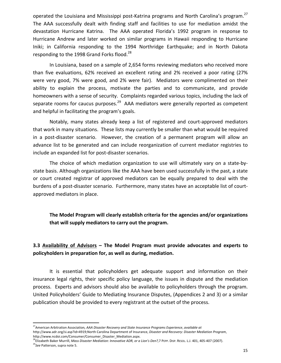operated the Louisiana and Mississippi post-Katrina programs and North Carolina's program.<sup>27</sup> The AAA successfully dealt with finding staff and facilities to use for mediation amidst the devastation Hurricane Katrina. The AAA operated Florida's 1992 program in response to Hurricane Andrew and later worked on similar programs in Hawaii responding to Hurricane Iniki; in California responding to the 1994 Northridge Earthquake; and in North Dakota responding to the 1998 Grand Forks flood.<sup>28</sup>

In Louisiana, based on a sample of 2,654 forms reviewing mediators who received more than five evaluations, 62% received an excellent rating and 2% received a poor rating (27% were very good, 7% were good, and 2% were fair). Mediators were complimented on their ability to explain the process, motivate the parties and to communicate, and provide homeowners with a sense of security. Complaints regarded various topics, including the lack of separate rooms for caucus purposes.<sup>29</sup> AAA mediators were generally reported as competent and helpful in facilitating the program's goals.

Notably, many states already keep a list of registered and court-approved mediators that work in many situations. These lists may currently be smaller than what would be required in a post-disaster scenario. However, the creation of a permanent program will allow an advance list to be generated and can include reorganization of current mediator registries to include an expanded list for post-disaster scenarios.

The choice of which mediation organization to use will ultimately vary on a state-bystate basis. Although organizations like the AAA have been used successfully in the past, a state or court created registrar of approved mediators can be equally prepared to deal with the burdens of a post-disaster scenario. Furthermore, many states have an acceptable list of courtapproved mediators in place.

**The Model Program will clearly establish criteria for the agencies and/or organizations** that will supply mediators to carry out the program.

## **3.3** Availability of Advisors – The Model Program must provide advocates and experts to policyholders in preparation for, as well as during, mediation.

It is essential that policyholders get adequate support and information on their insurance legal rights, their specific policy language, the issues in dispute and the mediation process. Experts and advisors should also be available to policyholders through the program. United Policyholders' Guide to Mediating Insurance Disputes, (Appendices 2 and 3) or a similar publication should be provided to every registrant at the outset of the process.

<u> 1989 - Johann Stein, markin film yn y breninn y breninn y breninn y breninn y breninn y breninn y breninn y b</u>

<sup>28</sup>Elizabeth Baker Murrill, *Mass Disaster Mediation: Innovative ADR, or a Lion's Den?,7* PEPP. Disp. RESOL. L.J. 401, 405-407 (2007). <sup>29</sup>See Patterson, supra note 5.

<sup>&</sup>lt;sup>27</sup> American Arbitration Association, AAA Disaster Recovery and State Insurance Programs Experience, available at http://www.adr.org/si.asp?id=4919;North Carolina Department of Insurance, *Disaster and Recovery: Disaster Mediation Program*, 

http://www.ncdoi.com/Consumer/Consumer\_Disaster\_Mediation.aspx.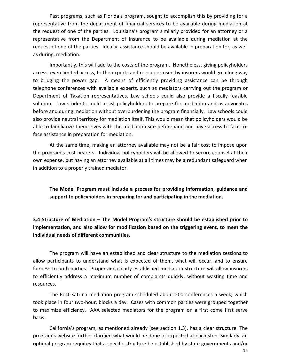Past programs, such as Florida's program, sought to accomplish this by providing for a representative from the department of financial services to be available during mediation at the request of one of the parties. Louisiana's program similarly provided for an attorney or a representative from the Department of Insurance to be available during mediation at the request of one of the parties. Ideally, assistance should be available in preparation for, as well as during, mediation.

Importantly, this will add to the costs of the program. Nonetheless, giving policyholders access, even limited access, to the experts and resources used by insurers would go a long way to bridging the power gap. A means of efficiently providing assistance can be through telephone conferences with available experts, such as mediators carrying out the program or Department of Taxation representatives. Law schools could also provide a fiscally feasible solution. Law students could assist policyholders to prepare for mediation and as advocates before and during mediation without overburdening the program financially. Law schools could also provide neutral territory for mediation itself. This would mean that policyholders would be able to familiarize themselves with the mediation site beforehand and have access to face-toface assistance in preparation for mediation.

At the same time, making an attorney available may not be a fair cost to impose upon the program's cost bearers. Individual policyholders will be allowed to secure counsel at their own expense, but having an attorney available at all times may be a redundant safeguard when in addition to a properly trained mediator.

The Model Program must include a process for providing information, guidance and support to policyholders in preparing for and participating in the mediation.

**3.4 Structure of Mediation – The Model Program's structure should be established prior to** implementation, and also allow for modification based on the triggering event, to meet the **individual needs of different communities.**

The program will have an established and clear structure to the mediation sessions to allow participants to understand what is expected of them, what will occur, and to ensure fairness to both parties. Proper and clearly established mediation structure will allow insurers to efficiently address a maximum number of complaints quickly, without wasting time and resources. 

The Post-Katrina mediation program scheduled about 200 conferences a week, which took place in four two-hour, blocks a day. Cases with common parties were grouped together to maximize efficiency. AAA selected mediators for the program on a first come first serve basis.

California's program, as mentioned already (see section 1.3), has a clear structure. The program's website further clarified what would be done or expected at each step. Similarly, an optimal program requires that a specific structure be established by state governments and/or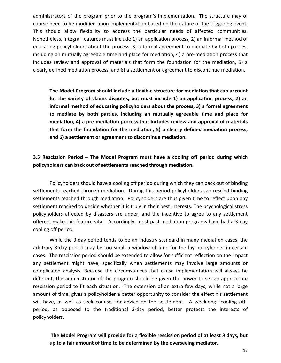administrators of the program prior to the program's implementation. The structure may of course need to be modified upon implementation based on the nature of the triggering event. This should allow flexibility to address the particular needs of affected communities. Nonetheless, integral features must include 1) an application process, 2) an informal method of educating policyholders about the process, 3) a formal agreement to mediate by both parties, including an mutually agreeable time and place for mediation, 4) a pre-mediation process that includes review and approval of materials that form the foundation for the mediation, 5) a clearly defined mediation process, and 6) a settlement or agreement to discontinue mediation.

The Model Program should include a flexible structure for mediation that can account for the variety of claims disputes, but must include 1) an application process, 2) an informal method of educating policyholders about the process, 3) a formal agreement to mediate by both parties, including an mutually agreeable time and place for mediation, 4) a pre-mediation process that includes review and approval of materials that form the foundation for the mediation, 5) a clearly defined mediation process, and 6) a settlement or agreement to discontinue mediation.

## **3.5** Rescission Period – The Model Program must have a cooling off period during which policyholders can back out of settlements reached through mediation.

Policyholders should have a cooling off period during which they can back out of binding settlements reached through mediation. During this period policyholders can rescind binding settlements reached through mediation. Policyholders are thus given time to reflect upon any settlement reached to decide whether it is truly in their best interests. The psychological stress policyholders affected by disasters are under, and the incentive to agree to any settlement offered, make this feature vital. Accordingly, most past mediation programs have had a 3-day cooling off period.

While the 3-day period tends to be an industry standard in many mediation cases, the arbitrary 3-day period may be too small a window of time for the lay policyholder in certain cases. The rescission period should be extended to allow for sufficient reflection on the impact any settlement might have, specifically when settlements may involve large amounts or complicated analysis. Because the circumstances that cause implementation will always be different, the administrator of the program should be given the power to set an appropriate rescission period to fit each situation. The extension of an extra few days, while not a large amount of time, gives a policyholder a better opportunity to consider the effect his settlement will have, as well as seek counsel for advice on the settlement. A weeklong "cooling off" period, as opposed to the traditional 3-day period, better protects the interests of policyholders.

The Model Program will provide for a flexible rescission period of at least 3 days, but up to a fair amount of time to be determined by the overseeing mediator.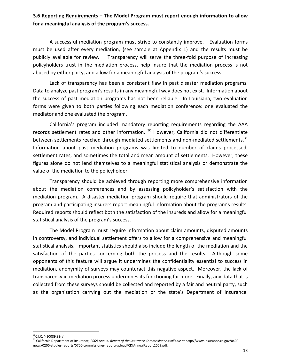## **3.6** Reporting Requirements – The Model Program must report enough information to allow for a meaningful analysis of the program's success.

A successful mediation program must strive to constantly improve. Evaluation forms must be used after every mediation, (see sample at Appendix 1) and the results must be publicly available for review. Transparency will serve the three-fold purpose of increasing policyholders trust in the mediation process, help insure that the mediation process is not abused by either party, and allow for a meaningful analysis of the program's success.

Lack of transparency has been a consistent flaw in past disaster mediation programs. Data to analyze past program's results in any meaningful way does not exist. Information about the success of past mediation programs has not been reliable. In Louisiana, two evaluation forms were given to both parties following each mediation conference: one evaluated the mediator and one evaluated the program.

California's program included mandatory reporting requirements regarding the AAA records settlement rates and other information.  $30$  However, California did not differentiate between settlements reached through mediated settlements and non-mediated settlements.<sup>31</sup> Information about past mediation programs was limited to number of claims processed, settlement rates, and sometimes the total and mean amount of settlements. However, these figures alone do not lend themselves to a meaningful statistical analysis or demonstrate the value of the mediation to the policyholder.

Transparency should be achieved through reporting more comprehensive information about the mediation conferences and by assessing policyholder's satisfaction with the mediation program. A disaster mediation program should require that administrators of the program and participating insurers report meaningful information about the program's results. Required reports should reflect both the satisfaction of the insureds and allow for a meaningful statistical analysis of the program's success.

The Model Program must require information about claim amounts, disputed amounts in controversy, and individual settlement offers to allow for a comprehensive and meaningful statistical analysis. Important statistics should also include the length of the mediation and the satisfaction of the parties concerning both the process and the results. Although some opponents of this feature will argue it undermines the confidentiality essential to success in mediation, anonymity of surveys may counteract this negative aspect. Moreover, the lack of transparency in mediation process undermines its functioning far more. Finally, any data that is collected from these surveys should be collected and reported by a fair and neutral party, such as the organization carrying out the mediation or the state's Department of Insurance.

 $30^{\circ}$ C.I.C. § 10089.83(a).

<sup>&</sup>lt;sup>31</sup> California Department of Insurance, 2009 Annual Report of the Insurance Commissioner available at http://www.insurance.ca.gov/0400news/0200-studies-reports/0700-commissioner-report/upload/CDIAnnualReport2009.pdf.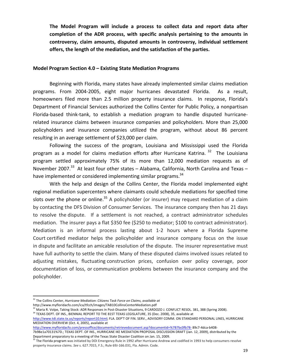The Model Program will include a process to collect data and report data after completion of the ADR process, with specific analysis pertaining to the amounts in controversy, claim amounts, disputed amounts in controversy, individual settlement offers, the length of the mediation, and the satisfaction of the parties.

#### **Model Program Section 4.0 – Existing State Mediation Programs**

Beginning with Florida, many states have already implemented similar claims mediation programs. From 2004-2005, eight major hurricanes devastated Florida. As a result, homeowners filed more than 2.5 million property insurance claims. In response, Florida's Department of Financial Services authorized the Collins Center for Public Policy, a nonpartisan Florida-based think-tank, to establish a mediation program to handle disputed hurricanerelated insurance claims between insurance companies and policyholders. More than 25,000 policyholders and insurance companies utilized the program, without about 86 percent resulting in an average settlement of \$23,000 per claim.

Following the success of the program, Louisiana and Mississippi used the Florida program as a model for claims mediation efforts after Hurricane Katrina.  $32$  The Louisiana program settled approximately 75% of its more than 12,000 mediation requests as of November 2007.<sup>33</sup> At least four other states – Alabama, California, North Carolina and Texas – have implemented or considered implementing similar programs.<sup>34</sup>

With the help and design of the Collins Center, the Florida model implemented eight regional mediation supercenters where claimants could schedule mediations for specified time slots over the phone or online.<sup>35</sup> A policyholder (or insurer) may request mediation of a claim by contacting the DFS Division of Consumer Services. The insurance company then has 21 days to resolve the dispute. If a settlement is not reached, a contract administrator schedules mediation. The insurer pays a flat \$350 fee (\$250 to mediator; \$100 to contract administrator). Mediation is an informal process lasting about 1-2 hours where a Florida Supreme Court certified mediator helps the policyholder and insurance company focus on the issue in dispute and facilitate an amicable resolution of the dispute. The insurer representative must have full authority to settle the claim. Many of these disputed claims involved issues related to adjusting mistakes, fluctuating construction prices, confusion over policy coverage, poor documentation of loss, or communication problems between the insurance company and the policyholder.

<sup>&</sup>lt;sup>32</sup> The Collins Center, *Hurricane Mediation: Citizens Task Force on Claims, available at* 

http://www.myfloridacfo.com/ica/tfcch/images/TAB10CollinsCenterMediation.pdf

<sup>&</sup>lt;sup>33</sup> Maria R. Volpe, Taking Stock: ADR Responses in Post-Disaster Situations, 9 CARDOZO J. CONFLICT RESOL. 381, 388 (Spring 2008).

 $34$  TEXAS DEPT. OF INS., BIENNIAL REPORT TO THE 81ST TEXAS LEGISLATURE, 35 (Dec. 2008), 35, available at

http://www.tdi.state.tx.us/reports/report10.html; FLA. DEP'T OF FIN. SERV., ADVISORY COMM. ON STANDARD PERSONAL LINES, HURRICANE MEDIATION OVERVIEW (Oct. 4, 2005), available at

http://www.myfloridacfo.com/pressoffice/documents/retrievedocument.asp?documentid=%7B7bc0fb78- 89c7-4dca-b408-

<sup>7</sup>b98e1a70131%7D.; TEXAS DEPT. OF INS., HURRICANE IKE MEDIATION PROPOSAL DISCUSSION DRAFT (Jan. 12, 2009), distributed by the Department preparatory to a meeting of the Texas State Disaster Coalition on Jan. 15, 2009.

<sup>&</sup>lt;sup>35</sup> The Florida program was initiated by DOI Emergency Rule in 1992 after Hurricane Andrew and codified in 1993 to help consumers resolve property insurance claims. See s. 627.7015, F.S.; Rule 69J-166.031, Fla. Admin. Code.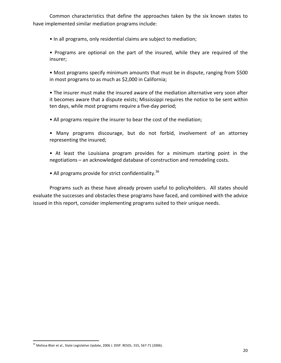Common characteristics that define the approaches taken by the six known states to have implemented similar mediation programs include:

• In all programs, only residential claims are subject to mediation;

• Programs are optional on the part of the insured, while they are required of the insurer; 

• Most programs specify minimum amounts that must be in dispute, ranging from \$500 in most programs to as much as \$2,000 in California;

• The insurer must make the insured aware of the mediation alternative very soon after it becomes aware that a dispute exists; Mississippi requires the notice to be sent within ten days, while most programs require a five-day period;

- All programs require the insurer to bear the cost of the mediation;
- Many programs discourage, but do not forbid, involvement of an attorney representing the insured;
- At least the Louisiana program provides for a minimum starting point in the negotiations – an acknowledged database of construction and remodeling costs.
- All programs provide for strict confidentiality.<sup>36</sup>

Programs such as these have already proven useful to policyholders. All states should evaluate the successes and obstacles these programs have faced, and combined with the advice issued in this report, consider implementing programs suited to their unique needs.

 $36$  Melissa Blair et al., State Legislative Update, 2006 J. DISP. RESOL. 555, 567-71 (2006).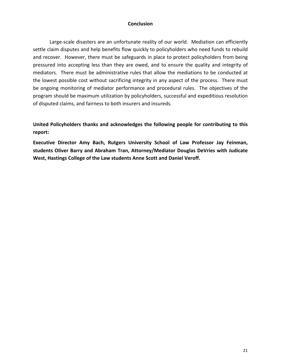#### **Conclusion**

Large-scale disasters are an unfortunate reality of our world. Mediation can efficiently settle claim disputes and help benefits flow quickly to policyholders who need funds to rebuild and recover. However, there must be safeguards in place to protect policyholders from being pressured into accepting less than they are owed, and to ensure the quality and integrity of mediators. There must be administrative rules that allow the mediations to be conducted at the lowest possible cost without sacrificing integrity in any aspect of the process. There must be ongoing monitoring of mediator performance and procedural rules. The objectives of the program should be maximum utilization by policyholders, successful and expeditious resolution of disputed claims, and fairness to both insurers and insureds.

United Policyholders thanks and acknowledges the following people for contributing to this **report:**

Executive Director Amy Bach, Rutgers University School of Law Professor Jay Feinman, students Oliver Barry and Abraham Tran, Attorney/Mediator Douglas DeVries with Judicate West, Hastings College of the Law students Anne Scott and Daniel Veroff.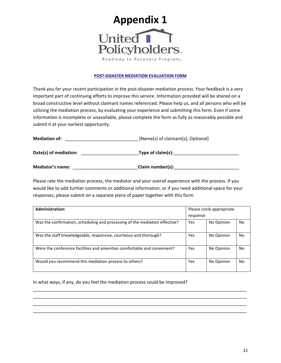

#### **POST-DISASTER MEDIATION EVALUATION FORM**

Thank you for your recent participation in the post-disaster mediation process. Your feedback is a very important part of continuing efforts to improve this service. Information provided will be shared on a broad constructive level without claimant names referenced. Please help us, and all persons who will be utilizing the mediation process, by evaluating your experience and submitting this form. Even if some information is incomplete or unavailable, please complete the form as fully as reasonably possible and submit it at your earliest opportunity.

| <b>Mediation of:</b>    | [Name(s) of claimant(s), Optional] |  |  |
|-------------------------|------------------------------------|--|--|
| Date(s) of mediation:   | Type of claim(s):                  |  |  |
| <b>Mediator's name:</b> | Claim number(s):                   |  |  |

Please rate the mediation process, the mediator and your overall experience with the process. If you would like to add further comments or additional information, or if you need additional space for your responses, please submit on a separate piece of paper together with this form.

| <b>Administration:</b>                                                      | Please circle appropriate |            |           |
|-----------------------------------------------------------------------------|---------------------------|------------|-----------|
|                                                                             | response                  |            |           |
| Was the confirmation, scheduling and processing of the mediation effective? | Yes                       | No Opinion | <b>No</b> |
| Was the staff knowledgeable, responsive, courteous and thorough?            | Yes                       | No Opinion | No.       |
| Were the conference facilities and amenities comfortable and convenient?    | Yes                       | No Opinion | No.       |
| Would you recommend this mediation process to others?                       | Yes                       | No Opinion | No.       |

\_\_\_\_\_\_\_\_\_\_\_\_\_\_\_\_\_\_\_\_\_\_\_\_\_\_\_\_\_\_\_\_\_\_\_\_\_\_\_\_\_\_\_\_\_\_\_\_\_\_\_\_\_\_\_\_\_\_\_\_\_\_\_\_\_\_\_\_\_\_\_\_\_\_\_\_\_\_\_\_\_\_\_\_\_ \_\_\_\_\_\_\_\_\_\_\_\_\_\_\_\_\_\_\_\_\_\_\_\_\_\_\_\_\_\_\_\_\_\_\_\_\_\_\_\_\_\_\_\_\_\_\_\_\_\_\_\_\_\_\_\_\_\_\_\_\_\_\_\_\_\_\_\_\_\_\_\_\_\_\_\_\_\_\_\_\_\_\_\_\_ \_\_\_\_\_\_\_\_\_\_\_\_\_\_\_\_\_\_\_\_\_\_\_\_\_\_\_\_\_\_\_\_\_\_\_\_\_\_\_\_\_\_\_\_\_\_\_\_\_\_\_\_\_\_\_\_\_\_\_\_\_\_\_\_\_\_\_\_\_\_\_\_\_\_\_\_\_\_\_\_\_\_\_\_\_ \_\_\_\_\_\_\_\_\_\_\_\_\_\_\_\_\_\_\_\_\_\_\_\_\_\_\_\_\_\_\_\_\_\_\_\_\_\_\_\_\_\_\_\_\_\_\_\_\_\_\_\_\_\_\_\_\_\_\_\_\_\_\_\_\_\_\_\_\_\_\_\_\_\_\_\_\_\_\_\_\_\_\_\_\_

In what ways, if any, do you feel the mediation process could be improved?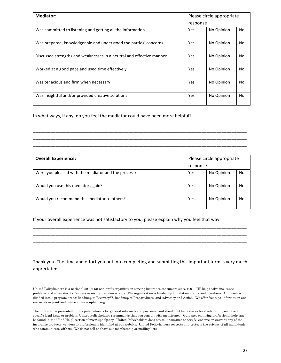| <b>Mediator:</b>                                                     | Please circle appropriate |            |     |
|----------------------------------------------------------------------|---------------------------|------------|-----|
|                                                                      | response                  |            |     |
| Was committed to listening and getting all the information           | Yes                       | No Opinion | No. |
| Was prepared, knowledgeable and understood the parties' concerns     | Yes                       | No Opinion | No  |
| Discussed strengths and weaknesses in a neutral and effective manner | Yes                       | No Opinion | No  |
| Worked at a good pace and used time effectively                      | Yes                       | No Opinion | No  |
| Was tenacious and firm when necessary                                | Yes                       | No Opinion | No. |
| Was insightful and/or provided creative solutions                    | Yes                       | No Opinion | No  |

In what ways, if any, do you feel the mediator could have been more helpful?

| <b>Overall Experience:</b>                          | Please circle appropriate |            |     |
|-----------------------------------------------------|---------------------------|------------|-----|
|                                                     | response                  |            |     |
| Were you pleased with the mediator and the process? | Yes                       | No Opinion | No  |
| Would you use this mediator again?                  | <b>Yes</b>                | No Opinion | No. |
| Would you recommend this mediator to others?        | Yes                       | No Opinion | No. |

\_\_\_\_\_\_\_\_\_\_\_\_\_\_\_\_\_\_\_\_\_\_\_\_\_\_\_\_\_\_\_\_\_\_\_\_\_\_\_\_\_\_\_\_\_\_\_\_\_\_\_\_\_\_\_\_\_\_\_\_\_\_\_\_\_\_\_\_\_\_\_\_\_\_\_\_\_\_\_\_\_\_\_\_\_ \_\_\_\_\_\_\_\_\_\_\_\_\_\_\_\_\_\_\_\_\_\_\_\_\_\_\_\_\_\_\_\_\_\_\_\_\_\_\_\_\_\_\_\_\_\_\_\_\_\_\_\_\_\_\_\_\_\_\_\_\_\_\_\_\_\_\_\_\_\_\_\_\_\_\_\_\_\_\_\_\_\_\_\_\_ \_\_\_\_\_\_\_\_\_\_\_\_\_\_\_\_\_\_\_\_\_\_\_\_\_\_\_\_\_\_\_\_\_\_\_\_\_\_\_\_\_\_\_\_\_\_\_\_\_\_\_\_\_\_\_\_\_\_\_\_\_\_\_\_\_\_\_\_\_\_\_\_\_\_\_\_\_\_\_\_\_\_\_\_\_ \_\_\_\_\_\_\_\_\_\_\_\_\_\_\_\_\_\_\_\_\_\_\_\_\_\_\_\_\_\_\_\_\_\_\_\_\_\_\_\_\_\_\_\_\_\_\_\_\_\_\_\_\_\_\_\_\_\_\_\_\_\_\_\_\_\_\_\_\_\_\_\_\_\_\_\_\_\_\_\_\_\_\_\_\_

If your overall experience was not satisfactory to you, please explain why you feel that way.

Thank you. The time and effort you put into completing and submitting this important form is very much appreciated.

\_\_\_\_\_\_\_\_\_\_\_\_\_\_\_\_\_\_\_\_\_\_\_\_\_\_\_\_\_\_\_\_\_\_\_\_\_\_\_\_\_\_\_\_\_\_\_\_\_\_\_\_\_\_\_\_\_\_\_\_\_\_\_\_\_\_\_\_\_\_\_\_\_\_\_\_\_\_\_\_\_\_\_\_\_ \_\_\_\_\_\_\_\_\_\_\_\_\_\_\_\_\_\_\_\_\_\_\_\_\_\_\_\_\_\_\_\_\_\_\_\_\_\_\_\_\_\_\_\_\_\_\_\_\_\_\_\_\_\_\_\_\_\_\_\_\_\_\_\_\_\_\_\_\_\_\_\_\_\_\_\_\_\_\_\_\_\_\_\_\_ \_\_\_\_\_\_\_\_\_\_\_\_\_\_\_\_\_\_\_\_\_\_\_\_\_\_\_\_\_\_\_\_\_\_\_\_\_\_\_\_\_\_\_\_\_\_\_\_\_\_\_\_\_\_\_\_\_\_\_\_\_\_\_\_\_\_\_\_\_\_\_\_\_\_\_\_\_\_\_\_\_\_\_\_\_ \_\_\_\_\_\_\_\_\_\_\_\_\_\_\_\_\_\_\_\_\_\_\_\_\_\_\_\_\_\_\_\_\_\_\_\_\_\_\_\_\_\_\_\_\_\_\_\_\_\_\_\_\_\_\_\_\_\_\_\_\_\_\_\_\_\_\_\_\_\_\_\_\_\_\_\_\_\_\_\_\_\_\_\_\_

United Policyholders is a national 501(c) (3) non-profit organization serving insurance consumers since 1991. UP helps solve insurance problems and advocates for fairness in insurance transactions. The organization is funded by foundation grants and donations. Our work is divided into 3 program areas: Roadmap to Recovery™, Roadmap to Preparedness, and Advocacy and Action. We offer free tips, information and resources in print and online at www.uphelp.org.

The information presented in this publication is for general informational purposes, and should not be taken as legal advice. If you have a specific legal issue or problem, United Policyholders recommends that you consult with an attorney. Guidance on hiring professional help can be found in the "Find Help" section of www.uphelp.org. United Policyholders does not sell insurance or certify, endorse or warrant any of the insurance products, vendors or professionals identified at our website. United Policyholders respects and protects the privacy of all individuals who communicate with us. We do not sell or share our membership or mailing lists.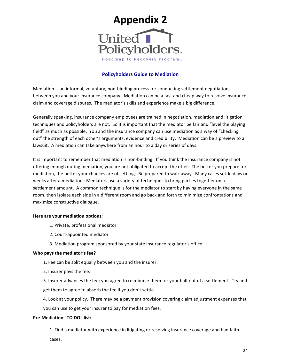

#### **Policyholders Guide to Mediation**

Mediation is an informal, voluntary, non-binding process for conducting settlement negotiations between you and your insurance company. Mediation can be a fast and cheap way to resolve insurance claim and coverage disputes. The mediator's skills and experience make a big difference.

Generally speaking, insurance company employees are trained in negotiation, mediation and litigation techniques and policyholders are not. So it is important that the mediator be fair and "level the playing field" as much as possible. You and the insurance company can use mediation as a way of "checking out" the strength of each other's arguments, evidence and credibility. Mediation can be a preview to a lawsuit. A mediation can take anywhere from an hour to a day or series of days.

It is important to remember that mediation is non-binding. If you think the insurance company is not offering enough during mediation, you are not obligated to accept the offer. The better you prepare for mediation, the better your chances are of settling. Be prepared to walk away. Many cases settle days or weeks after a mediation. Mediators use a variety of techniques to bring parties together on a settlement amount. A common technique is for the mediator to start by having everyone in the same room, then isolate each side in a different room and go back and forth to minimize confrontations and maximize constructive dialogue.

#### **Here are your mediation options:**

- 1. Private, professional mediator
- 2. Court-appointed mediator
- 3. Mediation program sponsored by your state insurance regulator's office.

#### Who pays the mediator's fee?

- 1. Fee can be split equally between you and the insurer.
- 2. Insurer pays the fee.

3. Insurer advances the fee; you agree to reimburse them for your half out of a settlement. Try and get them to agree to absorb the fee if you don't settle.

4. Look at your policy. There may be a payment provision covering claim adjustment expenses that you can use to get your insurer to pay for mediation fees.

#### **Pre-Mediation "TO DO" list:**

1. Find a mediator with experience in litigating or resolving insurance coverage and bad faith cases.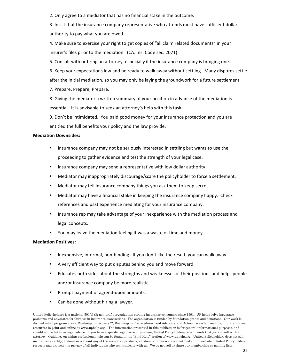2. Only agree to a mediator that has no financial stake in the outcome.

3. Insist that the insurance company representative who attends must have sufficient dollar authority to pay what you are owed.

4. Make sure to exercise your right to get copies of "all claim related documents" in your insurer's files prior to the mediation. (CA. Ins. Code sec. 2071)

5. Consult with or bring an attorney, especially if the insurance company is bringing one.

6. Keep your expectations low and be ready to walk away without settling. Many disputes settle after the initial mediation, so you may only be laying the groundwork for a future settlement.

7. Prepare, Prepare, Prepare.

8. Giving the mediator a written summary of your position in advance of the mediation is essential. It is advisable to seek an attorney's help with this task.

9. Don't be intimidated. You paid good money for your insurance protection and you are entitled the full benefits your policy and the law provide.

#### **Mediation Downsides:**

- Insurance company may not be seriously interested in settling but wants to use the proceeding to gather evidence and test the strength of your legal case.
- Insurance company may send a representative with low dollar authority.
- Mediator may inappropriately discourage/scare the policyholder to force a settlement.
- Mediator may tell insurance company things you ask them to keep secret.
- Mediator may have a financial stake in keeping the insurance company happy. Check references and past experience mediating for your insurance company.
- Insurance rep may take advantage of your inexperience with the mediation process and legal concepts.
- You may leave the mediation feeling it was a waste of time and money

#### **Mediation Positives:**

- Inexpensive, informal, non-binding. If you don't like the result, you can walk away
- A very efficient way to put disputes behind you and move forward
- Educates both sides about the strengths and weaknesses of their positions and helps people and/or insurance company be more realistic.
- Prompt payment of agreed-upon amounts.
- Can be done without hiring a lawyer.

United Policyholders is a national 501(c) (3) non-profit organization serving insurance consumers since 1991. UP helps solve insurance problems and advocates for fairness in insurance transactions. The organization is funded by foundation grants and donations. Our work is divided into 3 program areas: Roadmap to Recovery™, Roadmap to Preparedness, and Advocacy and Action. We offer free tips, information and resources in print and online at www.uphelp.org. The information presented in this publication is for general informational purposes, and should not be taken as legal advice. If you have a specific legal issue or problem, United Policyholders recommends that you consult with an attorney. Guidance on hiring professional help can be found in the "Find Help" section of www.uphelp.org. United Policyholders does not sell insurance or certify, endorse or warrant any of the insurance products, vendors or professionals identified at our website. United Policyholders respects and protects the privacy of all individuals who communicate with us. We do not sell or share our membership or mailing lists.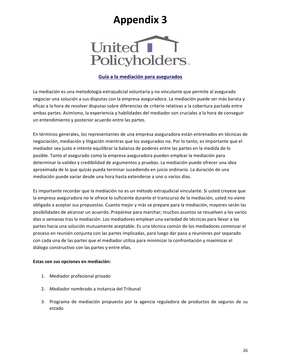# **Appendix 3**



#### Guía a la mediación para asegurados

La mediación es una metodología extrajudicial voluntaria y no vinculante que permite al asegurado negociar una solución a sus disputas con la empresa aseguradora. La mediación puede ser más barata y eficaz a la hora de resolver disputas sobre diferencias de criterio relativas a la cobertura pactada entre ambas partes. Asimismo, la experiencia y habilidades del mediador son cruciales a la hora de conseguir un entendimiento y posterior acuerdo entre las partes.

En términos generales, los representantes de una empresa aseguradora están entrenados en técnicas de negociación, mediación y litigación mientras que los asegurados no. Por lo tanto, es importante que el mediador sea justo e intente equilibrar la balanza de poderes entre las partes en la medida de lo posible. Tanto el asegurado como la empresa aseguradora pueden emplear la mediación para determinar la validez y credibilidad de argumentos y pruebas. La mediación puede ofrecer una idea aproximada de lo que quizás pueda terminar sucediendo en juicio ordinario. La duración de una mediación puede variar desde una hora hasta extenderse a uno o varios días.

Es importante recordar que la mediación no es un método extrajudicial vinculante. Si usted creyese que la empresa aseguradora no le ofrece lo suficiente durante el transcurso de la mediación, usted no viene obligado a aceptar sus propuestas. Cuanto mejor y más se prepare para la mediación, mayores serán las posibilidades de alcanzar un acuerdo. Prepárese para marchar; muchos asuntos se resuelven a los varios días o semanas tras la mediación. Los mediadores emplean una variedad de técnicas para llevar a las partes hacia una solución mutuamente aceptable. Es una técnica común de los mediadores comenzar el proceso en reunión conjunta con las partes implicadas, para luego dar paso a reuniones por separado con cada una de las partes que el mediador utiliza para minimizar la confrontación y maximizar el diálogo constructivo con las partes y entre ellas.

#### **Estas son sus opciones en mediación:**

- 1. Mediador profesional privado
- 2. Mediador nombrado a instancia del Tribunal
- 3. Programa de mediación propuesto por la agencia reguladora de productos de seguros de su estado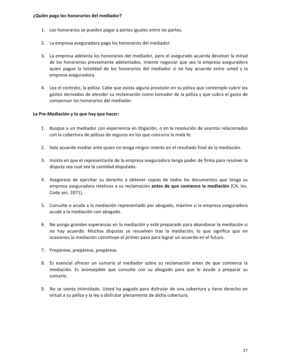- 1. Los honorarios se pueden pagar a partes iguales entre las partes.
- 2. La empresa aseguradora paga los honorarios del mediador.
- 3. La empresa adelanta los honorarios del mediador, pero el asegurado acuerda devolver la mitad de los honorarios previamente adelantados. Intente negociar que sea la empresa aseguradora quien pague la totalidad de los honorarios del mediador si no hay acuerdo entre usted y la empresa aseguradora.
- 4. Lea el contrato, la póliza. Cabe que exista alguna provisión en su póliza que contemple cubrir los gastos derivados de atender su reclamación como tomador de la póliza y que cubra el gasto de compensar los honorarios del mediador.

#### **La Pre-Mediación y lo que hay que hacer:**

- 1. Busque a un mediador con experiencia en litigación, o en la resolución de asuntos relacionados con la cobertura de pólizas de seguros en los que concurra la mala fe.
- 2. Solo acuerde mediar ante quien no tenga ningún interés en el resultado final de la mediación.
- 3. Insista en que el representante de la empresa aseguradora tenga poder de firma para resolver la disputa sea cual sea la cantidad disputada.
- 4. Asegúrese de ejercitar su derecho a obtener copias de todos los documentos que tenga su empresa aseguradora relativos a su reclamación antes de que comience la mediación (CA. Ins. Code sec. 2071).
- 5. Consulte o acuda a la mediación representado por abogado, máxime si la empresa aseguradora acude a la mediación con abogado.
- 6. No ponga grandes esperanzas en la mediación y esté preparado para abandonar la mediación si no hay acuerdo. Muchas disputas se resuelven tras la mediación, lo que significa que en ocasiones la mediación constituye el primer paso para lograr un acuerdo en el futuro.
- 7. Prepárese, prepárese, prepárese.
- 8. Es esencial ofrecer un sumario al mediador sobre su reclamación antes de que comience la mediación. Es aconsejable que consulte con su abogado para que le ayude a preparar su sumario.
- 9. No se sienta intimidado. Usted ha pagado para disfrutar de una cobertura y tiene derecho en virtud a su póliza y la ley a disfrutar plenamente de dicha cobertura.